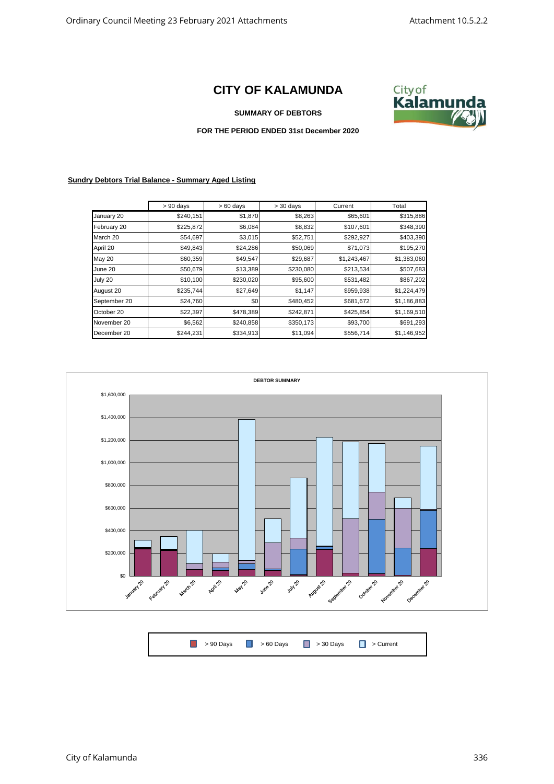## **CITY OF KALAMUNDA**



## **SUMMARY OF DEBTORS**

## **FOR THE PERIOD ENDED 31st December 2020**

## **Sundry Debtors Trial Balance - Summary Aged Listing**

|              | $> 90$ days | $>60$ days | $>$ 30 days | Current     | Total       |
|--------------|-------------|------------|-------------|-------------|-------------|
| January 20   | \$240,151   | \$1,870    | \$8,263     | \$65,601    | \$315,886   |
| February 20  | \$225,872   | \$6,084    | \$8,832     | \$107,601   | \$348,390   |
| March 20     | \$54,697    | \$3,015    | \$52,751    | \$292,927   | \$403,390   |
| April 20     | \$49,843    | \$24,286   | \$50,069    | \$71,073    | \$195,270   |
| May 20       | \$60,359    | \$49,547   | \$29,687    | \$1,243,467 | \$1,383,060 |
| June 20      | \$50,679    | \$13,389   | \$230,080   | \$213,534   | \$507,683   |
| July 20      | \$10,100    | \$230,020  | \$95,600    | \$531,482   | \$867,202   |
| August 20    | \$235,744   | \$27,649   | \$1,147     | \$959,938   | \$1,224,479 |
| September 20 | \$24,760    | \$0        | \$480,452   | \$681,672   | \$1,186,883 |
| October 20   | \$22,397    | \$478,389  | \$242,871   | \$425,854   | \$1,169,510 |
| November 20  | \$6,562     | \$240,858  | \$350,173   | \$93,700    | \$691,293   |
| December 20  | \$244,231   | \$334,913  | \$11,094    | \$556,714   | \$1,146,952 |



| <b>1</b> > 90 Days <b>1</b> > 60 Days <b>1</b> > 30 Days <b>1</b> > Current |  |  |
|-----------------------------------------------------------------------------|--|--|
|                                                                             |  |  |